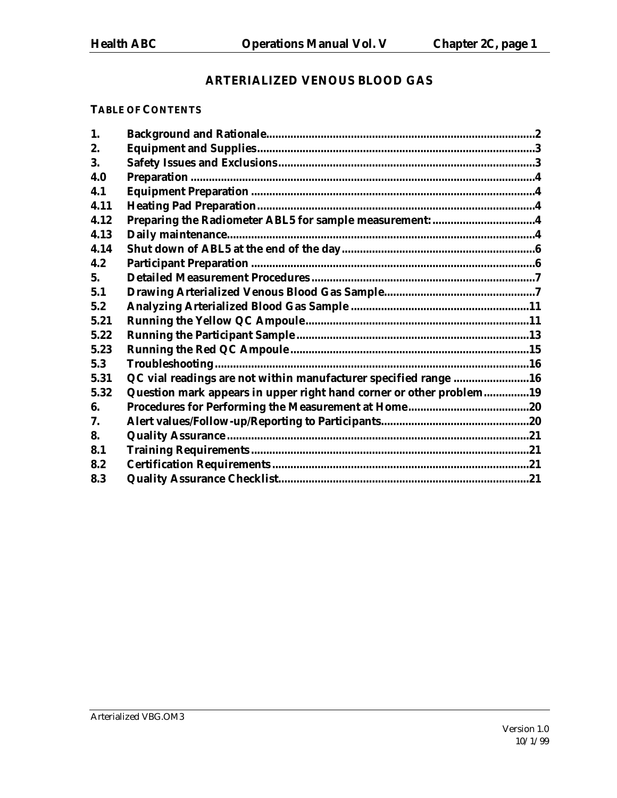# **ARTERIALIZED VENOUS BLOOD GAS**

#### **TABLE OF CONTENTS**

| 1.   |                                                                     |  |
|------|---------------------------------------------------------------------|--|
| 2.   |                                                                     |  |
| 3.   |                                                                     |  |
| 4.0  |                                                                     |  |
| 4.1  |                                                                     |  |
| 4.11 |                                                                     |  |
| 4.12 | Preparing the Radiometer ABL5 for sample measurement: 4             |  |
| 4.13 |                                                                     |  |
| 4.14 |                                                                     |  |
| 4.2  |                                                                     |  |
| 5.   |                                                                     |  |
| 5.1  |                                                                     |  |
| 5.2  |                                                                     |  |
| 5.21 |                                                                     |  |
| 5.22 |                                                                     |  |
| 5.23 |                                                                     |  |
| 5.3  |                                                                     |  |
| 5.31 | QC vial readings are not within manufacturer specified range 16     |  |
| 5.32 | Question mark appears in upper right hand corner or other problem19 |  |
| 6.   |                                                                     |  |
| 7.   |                                                                     |  |
| 8.   |                                                                     |  |
| 8.1  |                                                                     |  |
| 8.2  |                                                                     |  |
| 8.3  |                                                                     |  |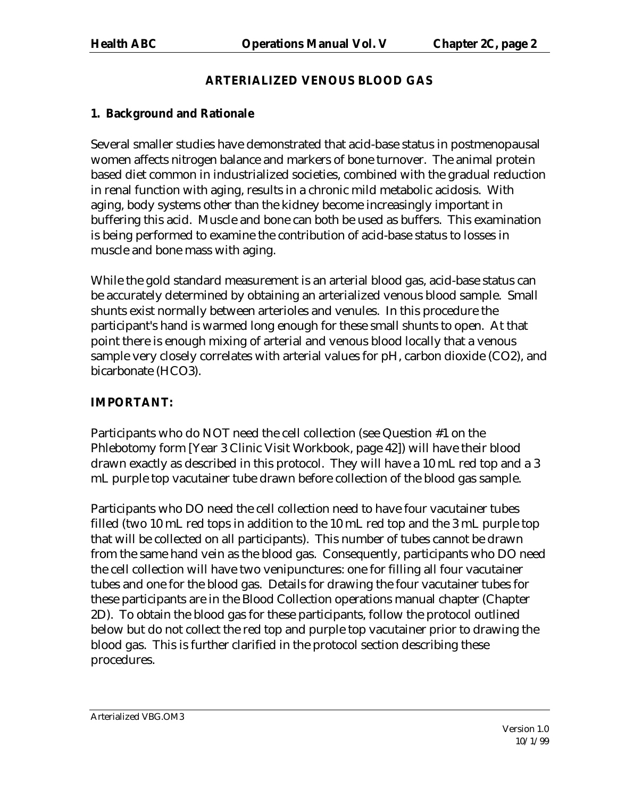## **ARTERIALIZED VENOUS BLOOD GAS**

## **1. Background and Rationale**

Several smaller studies have demonstrated that acid-base status in postmenopausal women affects nitrogen balance and markers of bone turnover. The animal protein based diet common in industrialized societies, combined with the gradual reduction in renal function with aging, results in a chronic mild metabolic acidosis. With aging, body systems other than the kidney become increasingly important in buffering this acid. Muscle and bone can both be used as buffers. This examination is being performed to examine the contribution of acid-base status to losses in muscle and bone mass with aging.

While the gold standard measurement is an arterial blood gas, acid-base status can be accurately determined by obtaining an arterialized venous blood sample. Small shunts exist normally between arterioles and venules. In this procedure the participant's hand is warmed long enough for these small shunts to open. At that point there is enough mixing of arterial and venous blood locally that a venous sample very closely correlates with arterial values for pH, carbon dioxide (CO2), and bicarbonate (HCO3).

# **IMPORTANT:**

Participants who do NOT need the cell collection (see Question #1 on the Phlebotomy form [Year 3 Clinic Visit Workbook, page 42]) will have their blood drawn exactly as described in this protocol. They will have a 10 mL red top and a 3 mL purple top vacutainer tube drawn before collection of the blood gas sample.

Participants who DO need the cell collection need to have four vacutainer tubes filled (two 10 mL red tops in addition to the 10 mL red top and the 3 mL purple top that will be collected on all participants). This number of tubes cannot be drawn from the same hand vein as the blood gas. Consequently, participants who DO need the cell collection will have two venipunctures: one for filling all four vacutainer tubes and one for the blood gas. Details for drawing the four vacutainer tubes for these participants are in the Blood Collection operations manual chapter (Chapter 2D). To obtain the blood gas for these participants, follow the protocol outlined below but do not collect the red top and purple top vacutainer prior to drawing the blood gas. This is further clarified in the protocol section describing these procedures.

Arterialized VBG.OM3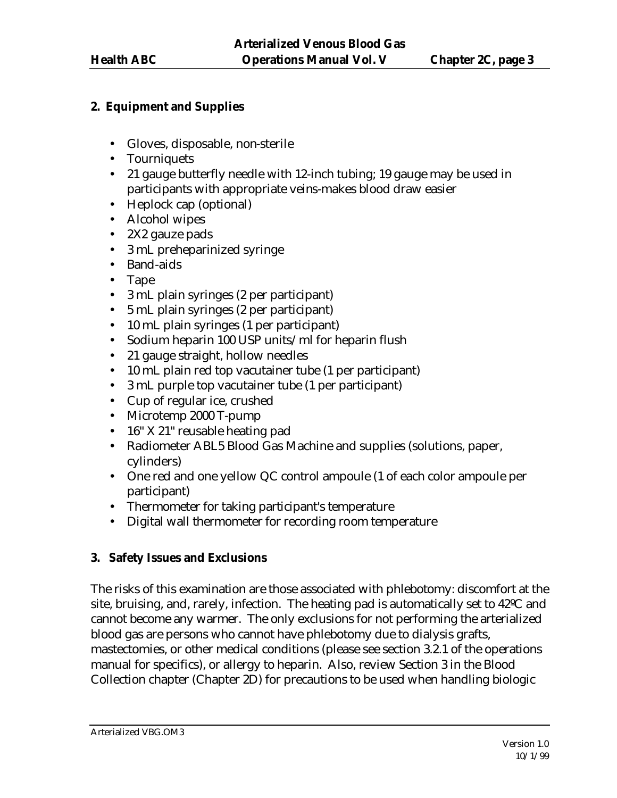## **2. Equipment and Supplies**

- Gloves, disposable, non-sterile
- Tourniquets
- 21 gauge butterfly needle with 12-inch tubing; 19 gauge may be used in participants with appropriate veins-makes blood draw easier
- Heplock cap (optional)
- Alcohol wipes
- 2X2 gauze pads
- 3 mL preheparinized syringe
- Band-aids
- Tape
- 3 mL plain syringes (2 per participant)
- 5 mL plain syringes (2 per participant)
- 10 mL plain syringes (1 per participant)
- Sodium heparin 100 USP units/ml for heparin flush
- 21 gauge straight, hollow needles
- 10 mL plain red top vacutainer tube (1 per participant)
- 3 mL purple top vacutainer tube (1 per participant)
- Cup of regular ice, crushed
- Microtemp 2000 T-pump
- 16" X 21" reusable heating pad
- Radiometer ABL5 Blood Gas Machine and supplies (solutions, paper, cylinders)
- One red and one yellow QC control ampoule (1 of each color ampoule per participant)
- Thermometer for taking participant's temperature
- Digital wall thermometer for recording room temperature

# **3. Safety Issues and Exclusions**

The risks of this examination are those associated with phlebotomy: discomfort at the site, bruising, and, rarely, infection. The heating pad is automatically set to 42ºC and cannot become any warmer. The only exclusions for not performing the arterialized blood gas are persons who cannot have phlebotomy due to dialysis grafts, mastectomies, or other medical conditions (please see section 3.2.1 of the operations manual for specifics), or allergy to heparin. Also, review Section 3 in the Blood Collection chapter (Chapter 2D) for precautions to be used when handling biologic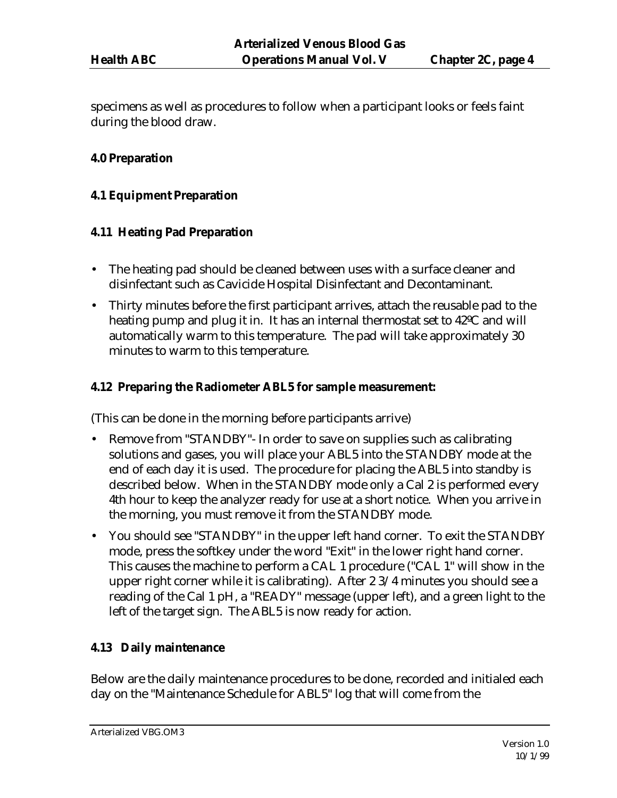specimens as well as procedures to follow when a participant looks or feels faint during the blood draw.

#### **4.0 Preparation**

#### **4.1 Equipment Preparation**

#### **4.11 Heating Pad Preparation**

- The heating pad should be cleaned between uses with a surface cleaner and disinfectant such as Cavicide Hospital Disinfectant and Decontaminant.
- Thirty minutes before the first participant arrives, attach the reusable pad to the heating pump and plug it in. It has an internal thermostat set to 42ºC and will automatically warm to this temperature. The pad will take approximately 30 minutes to warm to this temperature.

#### **4.12 Preparing the Radiometer ABL5 for sample measurement:**

(This can be done in the morning before participants arrive)

- Remove from "STANDBY"- In order to save on supplies such as calibrating solutions and gases, you will place your ABL5 into the STANDBY mode at the end of each day it is used. The procedure for placing the ABL5 into standby is described below. When in the STANDBY mode only a Cal 2 is performed every 4th hour to keep the analyzer ready for use at a short notice. When you arrive in the morning, you must remove it from the STANDBY mode.
- You should see "STANDBY" in the upper left hand corner. To exit the STANDBY mode, press the softkey under the word "Exit" in the lower right hand corner. This causes the machine to perform a CAL 1 procedure ("CAL 1" will show in the upper right corner while it is calibrating). After 2 3/4 minutes you should see a reading of the Cal 1 pH, a "READY" message (upper left), and a green light to the left of the target sign. The ABL5 is now ready for action.

## **4.13 Daily maintenance**

Below are the daily maintenance procedures to be done, recorded and initialed each day on the "Maintenance Schedule for ABL5" log that will come from the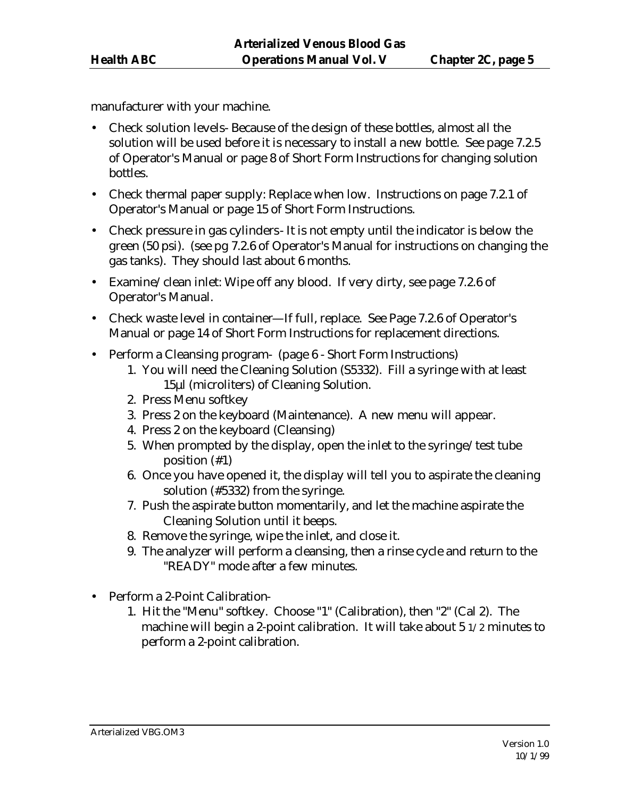manufacturer with your machine.

- Check solution levels- Because of the design of these bottles, almost all the solution will be used before it is necessary to install a new bottle. See page 7.2.5 of Operator's Manual or page 8 of Short Form Instructions for changing solution bottles.
- Check thermal paper supply: Replace when low. Instructions on page 7.2.1 of Operator's Manual or page 15 of Short Form Instructions.
- Check pressure in gas cylinders- It is not empty until the indicator is below the green (50 psi). (see pg 7.2.6 of Operator's Manual for instructions on changing the gas tanks). They should last about 6 months.
- Examine/clean inlet: Wipe off any blood. If very dirty, see page 7.2.6 of Operator's Manual.
- Check waste level in container—If full, replace. See Page 7.2.6 of Operator's Manual or page 14 of Short Form Instructions for replacement directions.
- Perform a Cleansing program- (page 6 Short Form Instructions)
	- 1. You will need the Cleaning Solution (S5332). Fill a syringe with at least 15μl (microliters) of Cleaning Solution.
	- 2. Press Menu softkey
	- 3. Press 2 on the keyboard (Maintenance). A new menu will appear.
	- 4. Press 2 on the keyboard (Cleansing)
	- 5. When prompted by the display, open the inlet to the syringe/test tube position (#1)
	- 6. Once you have opened it, the display will tell you to aspirate the cleaning solution (#5332) from the syringe.
	- 7. Push the aspirate button momentarily, and let the machine aspirate the Cleaning Solution until it beeps.
	- 8. Remove the syringe, wipe the inlet, and close it.
	- 9. The analyzer will perform a cleansing, then a rinse cycle and return to the "READY" mode after a few minutes.
- Perform a 2-Point Calibration-
	- 1. Hit the "Menu" softkey. Choose "1" (Calibration), then "2" (Cal 2). The machine will begin a 2-point calibration. It will take about 5 1/2 minutes to perform a 2-point calibration.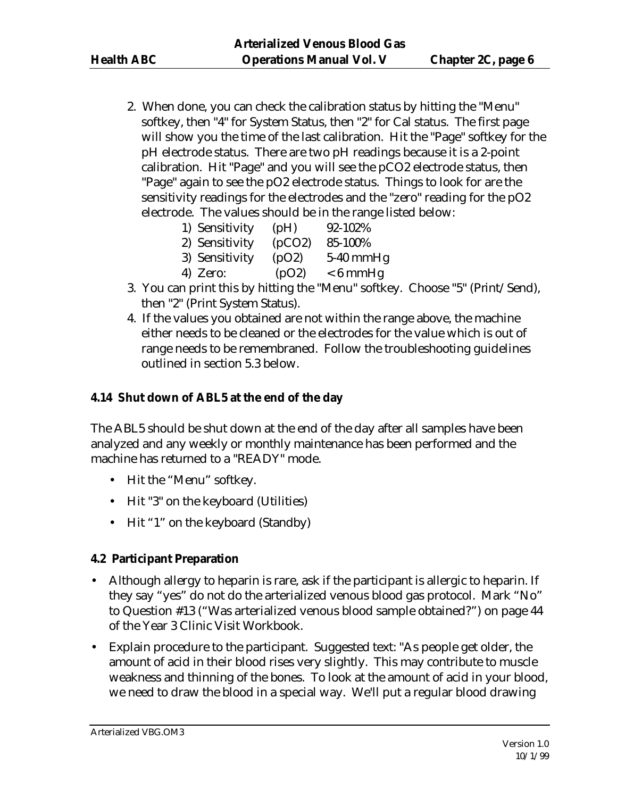2. When done, you can check the calibration status by hitting the "Menu" softkey, then "4" for System Status, then "2" for Cal status. The first page will show you the time of the last calibration. Hit the "Page" softkey for the pH electrode status. There are two pH readings because it is a 2-point calibration. Hit "Page" and you will see the pCO2 electrode status, then "Page" again to see the pO2 electrode status. Things to look for are the sensitivity readings for the electrodes and the "zero" reading for the pO2 electrode. The values should be in the range listed below:

| 1) Sensitivity | (pH)   | 92-102%     |
|----------------|--------|-------------|
| 2) Sensitivity | (pCO2) | 85-100%     |
| 3) Sensitivity | (pO2)  | $5-40$ mmHg |
| 4) Zero:       | (pO2)  | $< 6$ mmHg  |

- 3. You can print this by hitting the "Menu" softkey. Choose "5" (Print/Send), then "2" (Print System Status).
- 4. If the values you obtained are not within the range above, the machine either needs to be cleaned or the electrodes for the value which is out of range needs to be remembraned. Follow the troubleshooting guidelines outlined in section 5.3 below.

# **4.14 Shut down of ABL5 at the end of the day**

The ABL5 should be shut down at the end of the day after all samples have been analyzed and any weekly or monthly maintenance has been performed and the machine has returned to a "READY" mode.

- Hit the "Menu" softkey.
- Hit "3" on the keyboard (Utilities)
- Hit "1" on the keyboard (Standby)

## **4.2 Participant Preparation**

- Although allergy to heparin is rare, ask if the participant is allergic to heparin. If they say "yes" do not do the arterialized venous blood gas protocol. Mark "No" to Question #13 ("Was arterialized venous blood sample obtained?") on page 44 of the Year 3 Clinic Visit Workbook.
- Explain procedure to the participant. Suggested text: "As people get older, the amount of acid in their blood rises very slightly. This may contribute to muscle weakness and thinning of the bones. To look at the amount of acid in your blood, we need to draw the blood in a special way. We'll put a regular blood drawing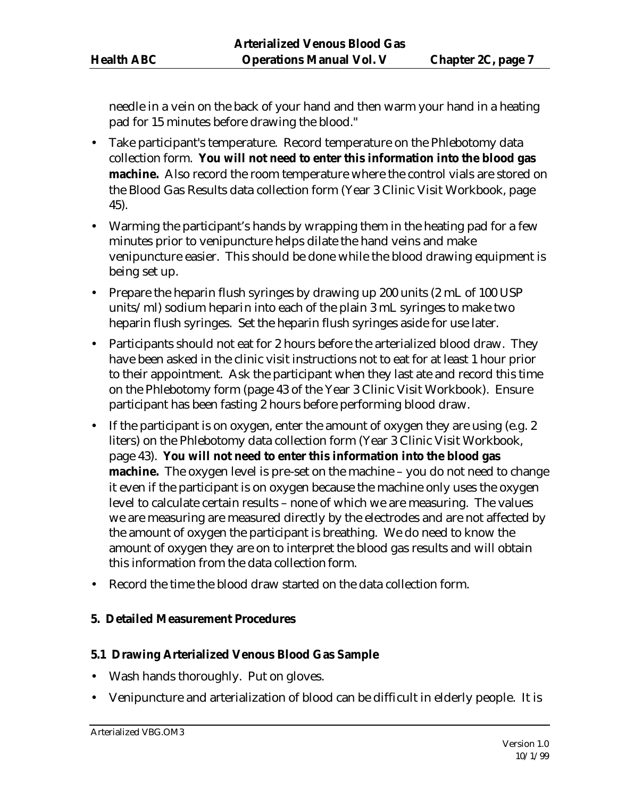needle in a vein on the back of your hand and then warm your hand in a heating pad for 15 minutes before drawing the blood."

- Take participant's temperature. Record temperature on the Phlebotomy data collection form. **You will not need to enter this information into the blood gas machine.** Also record the room temperature where the control vials are stored on the Blood Gas Results data collection form (Year 3 Clinic Visit Workbook, page 45).
- Warming the participant's hands by wrapping them in the heating pad for a few minutes prior to venipuncture helps dilate the hand veins and make venipuncture easier. This should be done while the blood drawing equipment is being set up.
- Prepare the heparin flush syringes by drawing up 200 units (2 mL of 100 USP) units/ml) sodium heparin into each of the plain 3 mL syringes to make two heparin flush syringes. Set the heparin flush syringes aside for use later.
- Participants should not eat for 2 hours before the arterialized blood draw. They have been asked in the clinic visit instructions not to eat for at least 1 hour prior to their appointment. Ask the participant when they last ate and record this time on the Phlebotomy form (page 43 of the Year 3 Clinic Visit Workbook). Ensure participant has been fasting 2 hours before performing blood draw.
- If the participant is on oxygen, enter the amount of oxygen they are using (e.g. 2) liters) on the Phlebotomy data collection form (Year 3 Clinic Visit Workbook, page 43). **You will not need to enter this information into the blood gas machine.** The oxygen level is pre-set on the machine – you do not need to change it even if the participant is on oxygen because the machine only uses the oxygen level to calculate certain results – none of which we are measuring. The values we are measuring are measured directly by the electrodes and are not affected by the amount of oxygen the participant is breathing. We do need to know the amount of oxygen they are on to interpret the blood gas results and will obtain this information from the data collection form.
- Record the time the blood draw started on the data collection form.

## **5. Detailed Measurement Procedures**

## **5.1 Drawing Arterialized Venous Blood Gas Sample**

- Wash hands thoroughly. Put on gloves.
- Venipuncture and arterialization of blood can be difficult in elderly people. It is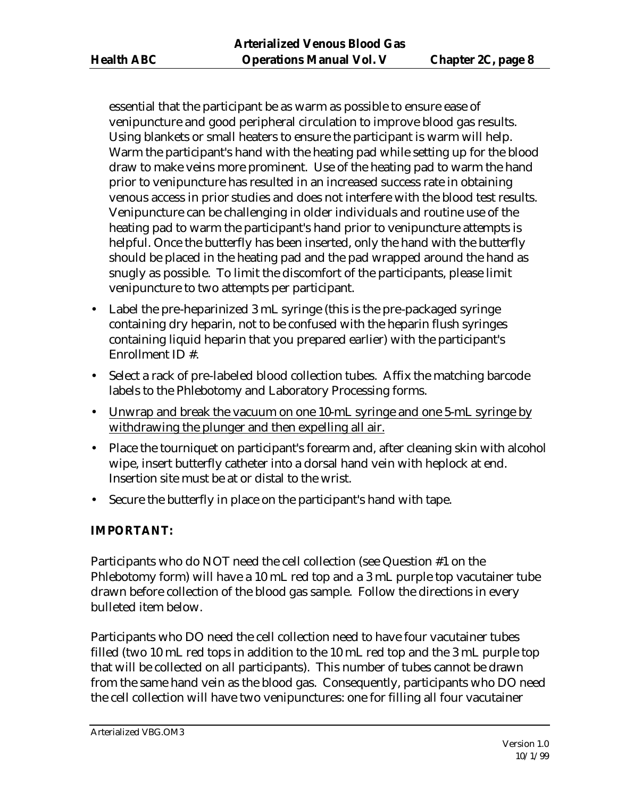essential that the participant be as warm as possible to ensure ease of venipuncture and good peripheral circulation to improve blood gas results. Using blankets or small heaters to ensure the participant is warm will help. Warm the participant's hand with the heating pad while setting up for the blood draw to make veins more prominent. Use of the heating pad to warm the hand prior to venipuncture has resulted in an increased success rate in obtaining venous access in prior studies and does not interfere with the blood test results. Venipuncture can be challenging in older individuals and routine use of the heating pad to warm the participant's hand prior to venipuncture attempts is helpful. Once the butterfly has been inserted, only the hand with the butterfly should be placed in the heating pad and the pad wrapped around the hand as snugly as possible. To limit the discomfort of the participants, please limit venipuncture to two attempts per participant.

- Label the pre-heparinized 3 mL syringe (this is the pre-packaged syringe containing dry heparin, not to be confused with the heparin flush syringes containing liquid heparin that you prepared earlier) with the participant's Enrollment ID #.
- Select a rack of pre-labeled blood collection tubes. Affix the matching barcode labels to the Phlebotomy and Laboratory Processing forms.
- Unwrap and break the vacuum on one 10-mL syringe and one 5-mL syringe by withdrawing the plunger and then expelling all air.
- Place the tourniquet on participant's forearm and, after cleaning skin with alcohol wipe, insert butterfly catheter into a dorsal hand vein with heplock at end. Insertion site must be at or distal to the wrist.
- Secure the butterfly in place on the participant's hand with tape.

## **IMPORTANT:**

Participants who do NOT need the cell collection (see Question #1 on the Phlebotomy form) will have a 10 mL red top and a 3 mL purple top vacutainer tube drawn before collection of the blood gas sample. Follow the directions in every bulleted item below.

Participants who DO need the cell collection need to have four vacutainer tubes filled (two 10 mL red tops in addition to the 10 mL red top and the 3 mL purple top that will be collected on all participants). This number of tubes cannot be drawn from the same hand vein as the blood gas. Consequently, participants who DO need the cell collection will have two venipunctures: one for filling all four vacutainer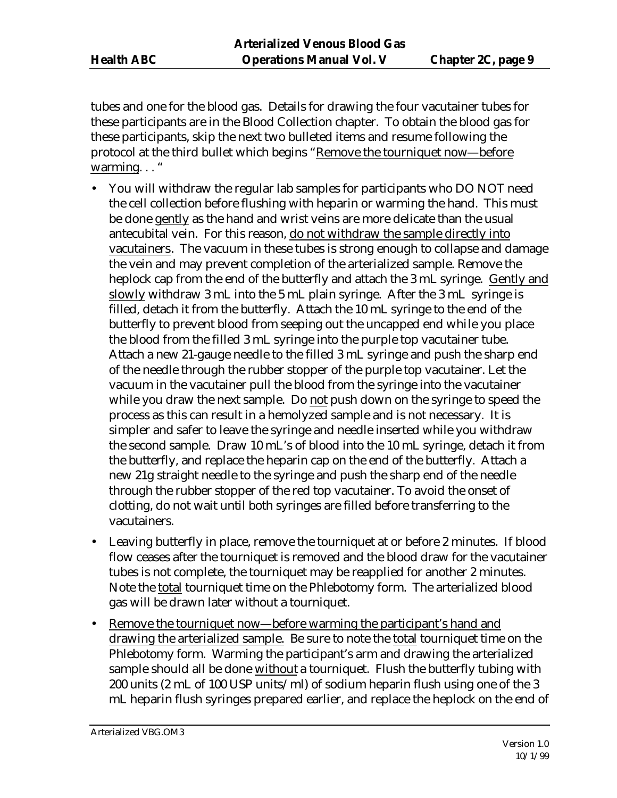tubes and one for the blood gas. Details for drawing the four vacutainer tubes for these participants are in the Blood Collection chapter. To obtain the blood gas for these participants, skip the next two bulleted items and resume following the protocol at the third bullet which begins "Remove the tourniquet now—before warming..."

- You will withdraw the regular lab samples for participants who DO NOT need the cell collection before flushing with heparin or warming the hand. This must be done gently as the hand and wrist veins are more delicate than the usual antecubital vein. For this reason, do not withdraw the sample directly into vacutainers. The vacuum in these tubes is strong enough to collapse and damage the vein and may prevent completion of the arterialized sample. Remove the heplock cap from the end of the butterfly and attach the 3 mL syringe. Gently and slowly withdraw 3 mL into the 5 mL plain syringe. After the 3 mL syringe is filled, detach it from the butterfly. Attach the 10 mL syringe to the end of the butterfly to prevent blood from seeping out the uncapped end while you place the blood from the filled 3 mL syringe into the purple top vacutainer tube. Attach a new 21-gauge needle to the filled 3 mL syringe and push the sharp end of the needle through the rubber stopper of the purple top vacutainer. Let the vacuum in the vacutainer pull the blood from the syringe into the vacutainer while you draw the next sample. Do not push down on the syringe to speed the process as this can result in a hemolyzed sample and is not necessary. It is simpler and safer to leave the syringe and needle inserted while you withdraw the second sample. Draw 10 mL's of blood into the 10 mL syringe, detach it from the butterfly, and replace the heparin cap on the end of the butterfly. Attach a new 21g straight needle to the syringe and push the sharp end of the needle through the rubber stopper of the red top vacutainer. To avoid the onset of clotting, do not wait until both syringes are filled before transferring to the vacutainers.
- Leaving butterfly in place, remove the tourniquet at or before 2 minutes. If blood flow ceases after the tourniquet is removed and the blood draw for the vacutainer tubes is not complete, the tourniquet may be reapplied for another 2 minutes. Note the total tourniquet time on the Phlebotomy form. The arterialized blood gas will be drawn later without a tourniquet.
- Remove the tourniquet now—before warming the participant's hand and drawing the arterialized sample. Be sure to note the total tourniquet time on the Phlebotomy form. Warming the participant's arm and drawing the arterialized sample should all be done without a tourniquet. Flush the butterfly tubing with 200 units (2 mL of 100 USP units/ml) of sodium heparin flush using one of the 3 mL heparin flush syringes prepared earlier, and replace the heplock on the end of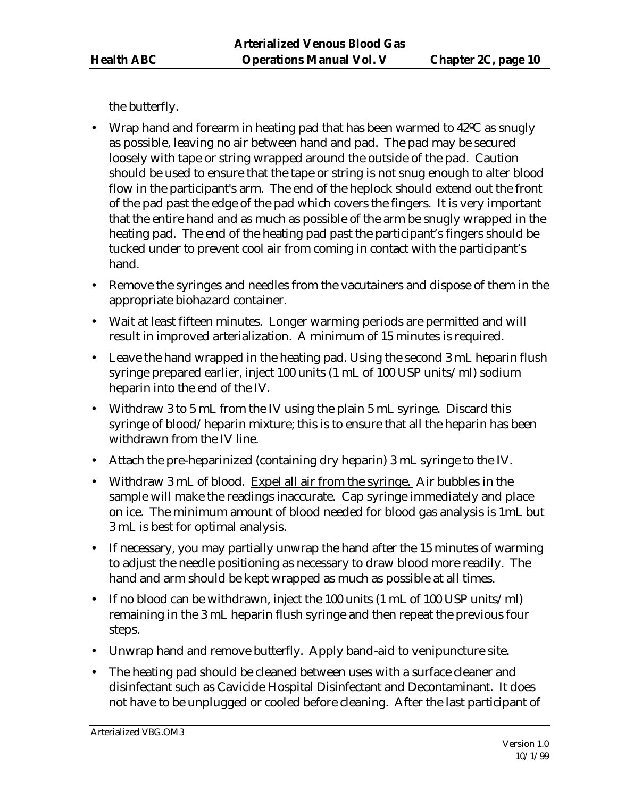the butterfly.

- Wrap hand and forearm in heating pad that has been warmed to 42ºC as snugly as possible, leaving no air between hand and pad. The pad may be secured loosely with tape or string wrapped around the outside of the pad. Caution should be used to ensure that the tape or string is not snug enough to alter blood flow in the participant's arm. The end of the heplock should extend out the front of the pad past the edge of the pad which covers the fingers. It is very important that the entire hand and as much as possible of the arm be snugly wrapped in the heating pad. The end of the heating pad past the participant's fingers should be tucked under to prevent cool air from coming in contact with the participant's hand.
- Remove the syringes and needles from the vacutainers and dispose of them in the appropriate biohazard container.
- Wait at least fifteen minutes. Longer warming periods are permitted and will result in improved arterialization. A minimum of 15 minutes is required.
- Leave the hand wrapped in the heating pad. Using the second 3 mL heparin flush syringe prepared earlier, inject 100 units (1 mL of 100 USP units/ml) sodium heparin into the end of the IV.
- Withdraw 3 to 5 mL from the IV using the plain 5 mL syringe. Discard this syringe of blood/heparin mixture; this is to ensure that all the heparin has been withdrawn from the IV line.
- Attach the pre-heparinized (containing dry heparin) 3 mL syringe to the IV.
- Withdraw 3 mL of blood. Expel all air from the syringe. Air bubbles in the sample will make the readings inaccurate. Cap syringe immediately and place on ice. The minimum amount of blood needed for blood gas analysis is 1mL but 3 mL is best for optimal analysis.
- If necessary, you may partially unwrap the hand after the 15 minutes of warming to adjust the needle positioning as necessary to draw blood more readily. The hand and arm should be kept wrapped as much as possible at all times.
- If no blood can be withdrawn, inject the 100 units (1 mL of 100 USP units/ml) remaining in the 3 mL heparin flush syringe and then repeat the previous four steps.
- Unwrap hand and remove butterfly. Apply band-aid to venipuncture site.
- The heating pad should be cleaned between uses with a surface cleaner and disinfectant such as Cavicide Hospital Disinfectant and Decontaminant. It does not have to be unplugged or cooled before cleaning. After the last participant of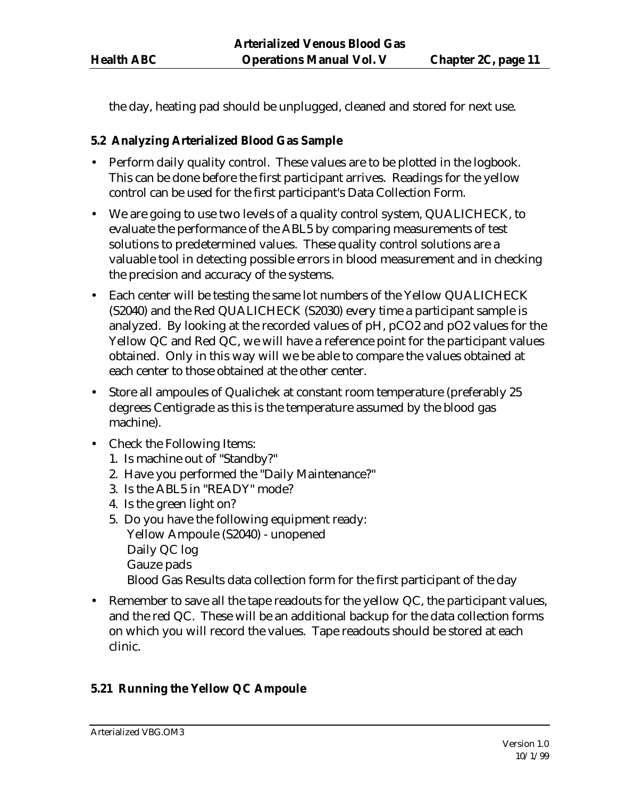the day, heating pad should be unplugged, cleaned and stored for next use.

## **5.2 Analyzing Arterialized Blood Gas Sample**

- Perform daily quality control. These values are to be plotted in the logbook. This can be done before the first participant arrives. Readings for the yellow control can be used for the first participant's Data Collection Form.
- We are going to use two levels of a quality control system, QUALICHECK, to evaluate the performance of the ABL5 by comparing measurements of test solutions to predetermined values. These quality control solutions are a valuable tool in detecting possible errors in blood measurement and in checking the precision and accuracy of the systems.
- Each center will be testing the same lot numbers of the Yellow QUALICHECK (S2040) and the Red QUALICHECK (S2030) every time a participant sample is analyzed. By looking at the recorded values of pH, pCO2 and pO2 values for the Yellow QC and Red QC, we will have a reference point for the participant values obtained. Only in this way will we be able to compare the values obtained at each center to those obtained at the other center.
- Store all ampoules of Qualichek at constant room temperature (preferably 25 degrees Centigrade as this is the temperature assumed by the blood gas machine).
- Check the Following Items:
	- 1. Is machine out of "Standby?"
	- 2. Have you performed the "Daily Maintenance?"
	- 3. Is the ABL5 in "READY" mode?
	- 4. Is the green light on?
	- 5. Do you have the following equipment ready: Yellow Ampoule (S2040) - unopened Daily QC log Gauze pads Blood Gas Results data collection form for the first participant of the day
- Remember to save all the tape readouts for the yellow QC, the participant values, and the red QC. These will be an additional backup for the data collection forms on which you will record the values. Tape readouts should be stored at each clinic.

## **5.21 Running the Yellow QC Ampoule**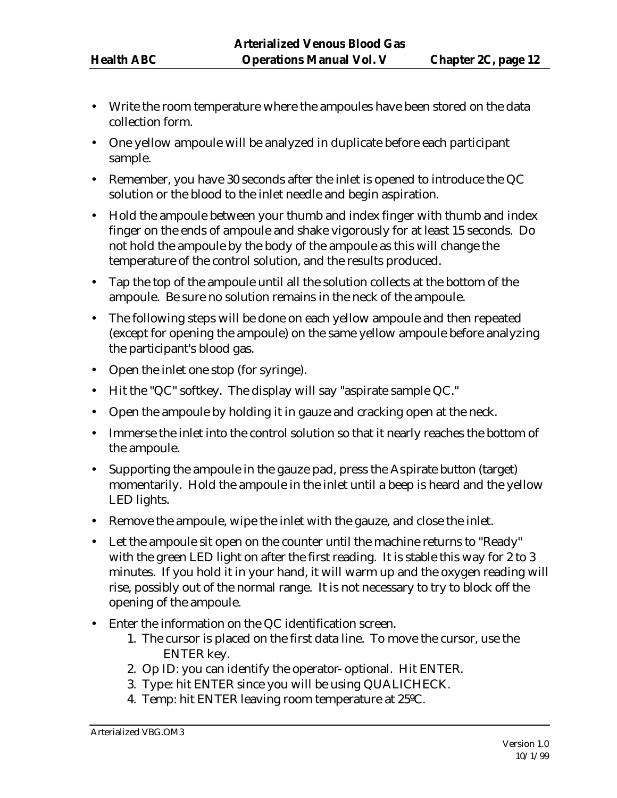- Write the room temperature where the ampoules have been stored on the data collection form.
- One yellow ampoule will be analyzed in duplicate before each participant sample.
- Remember, you have 30 seconds after the inlet is opened to introduce the QC solution or the blood to the inlet needle and begin aspiration.
- Hold the ampoule between your thumb and index finger with thumb and index finger on the ends of ampoule and shake vigorously for at least 15 seconds. Do not hold the ampoule by the body of the ampoule as this will change the temperature of the control solution, and the results produced.
- Tap the top of the ampoule until all the solution collects at the bottom of the ampoule. Be sure no solution remains in the neck of the ampoule.
- The following steps will be done on each yellow ampoule and then repeated (except for opening the ampoule) on the same yellow ampoule before analyzing the participant's blood gas.
- Open the inlet one stop (for syringe).
- Hit the "QC" softkey. The display will say "aspirate sample QC."
- Open the ampoule by holding it in gauze and cracking open at the neck.
- Immerse the inlet into the control solution so that it nearly reaches the bottom of the ampoule.
- Supporting the ampoule in the gauze pad, press the Aspirate button (target) momentarily. Hold the ampoule in the inlet until a beep is heard and the yellow LED lights.
- Remove the ampoule, wipe the inlet with the gauze, and close the inlet.
- Let the ampoule sit open on the counter until the machine returns to "Ready" with the green LED light on after the first reading. It is stable this way for 2 to 3 minutes. If you hold it in your hand, it will warm up and the oxygen reading will rise, possibly out of the normal range. It is not necessary to try to block off the opening of the ampoule.
- Enter the information on the QC identification screen.
	- 1. The cursor is placed on the first data line. To move the cursor, use the ENTER key.
	- 2. Op ID: you can identify the operator- optional. Hit ENTER.
	- 3. Type: hit ENTER since you will be using QUALICHECK.
	- 4. Temp: hit ENTER leaving room temperature at 25ºC.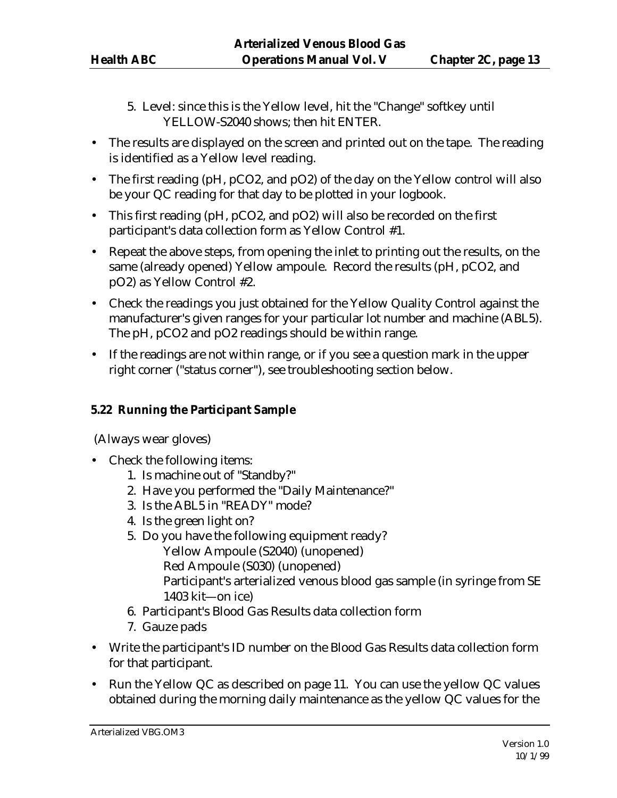- 5. Level: since this is the Yellow level, hit the "Change" softkey until YELLOW-S2040 shows; then hit ENTER.
- The results are displayed on the screen and printed out on the tape. The reading is identified as a Yellow level reading.
- The first reading (pH, pCO2, and pO2) of the day on the Yellow control will also be your QC reading for that day to be plotted in your logbook.
- This first reading (pH, pCO2, and pO2) will also be recorded on the first participant's data collection form as Yellow Control #1.
- Repeat the above steps, from opening the inlet to printing out the results, on the same (already opened) Yellow ampoule. Record the results (pH, pCO2, and pO2) as Yellow Control #2.
- Check the readings you just obtained for the Yellow Quality Control against the manufacturer's given ranges for your particular lot number and machine (ABL5). The pH, pCO2 and pO2 readings should be within range.
- If the readings are not within range, or if you see a question mark in the upper right corner ("status corner"), see troubleshooting section below.

## **5.22 Running the Participant Sample**

(Always wear gloves)

- Check the following items:
	- 1. Is machine out of "Standby?"
	- 2. Have you performed the "Daily Maintenance?"
	- 3. Is the ABL5 in "READY" mode?
	- 4. Is the green light on?
	- 5. Do you have the following equipment ready? Yellow Ampoule (S2040) (unopened) Red Ampoule (S030) (unopened) Participant's arterialized venous blood gas sample (in syringe from SE 1403 kit—on ice)
	- 6. Participant's Blood Gas Results data collection form
	- 7. Gauze pads
- Write the participant's ID number on the Blood Gas Results data collection form for that participant.
- Run the Yellow QC as described on page 11. You can use the yellow QC values obtained during the morning daily maintenance as the yellow QC values for the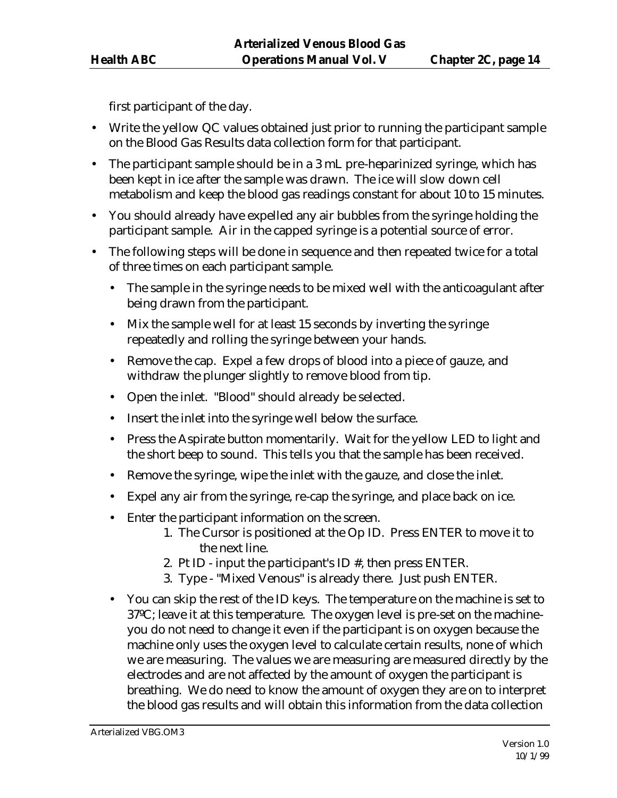first participant of the day.

- Write the yellow QC values obtained just prior to running the participant sample on the Blood Gas Results data collection form for that participant.
- The participant sample should be in a 3 mL pre-heparinized syringe, which has been kept in ice after the sample was drawn. The ice will slow down cell metabolism and keep the blood gas readings constant for about 10 to 15 minutes.
- You should already have expelled any air bubbles from the syringe holding the participant sample. Air in the capped syringe is a potential source of error.
- The following steps will be done in sequence and then repeated twice for a total of three times on each participant sample.
	- The sample in the syringe needs to be mixed well with the anticoagulant after being drawn from the participant.
	- Mix the sample well for at least 15 seconds by inverting the syringe repeatedly and rolling the syringe between your hands.
	- Remove the cap. Expel a few drops of blood into a piece of gauze, and withdraw the plunger slightly to remove blood from tip.
	- Open the inlet. "Blood" should already be selected.
	- Insert the inlet into the syringe well below the surface.
	- Press the Aspirate button momentarily. Wait for the yellow LED to light and the short beep to sound. This tells you that the sample has been received.
	- Remove the syringe, wipe the inlet with the gauze, and close the inlet.
	- Expel any air from the syringe, re-cap the syringe, and place back on ice.
	- Enter the participant information on the screen.
		- 1. The Cursor is positioned at the Op ID. Press ENTER to move it to the next line.
		- 2. Pt ID input the participant's ID #, then press ENTER.
		- 3. Type "Mixed Venous" is already there. Just push ENTER.
	- You can skip the rest of the ID keys. The temperature on the machine is set to 37ºC; leave it at this temperature. The oxygen level is pre-set on the machineyou do not need to change it even if the participant is on oxygen because the machine only uses the oxygen level to calculate certain results, none of which we are measuring. The values we are measuring are measured directly by the electrodes and are not affected by the amount of oxygen the participant is breathing. We do need to know the amount of oxygen they are on to interpret the blood gas results and will obtain this information from the data collection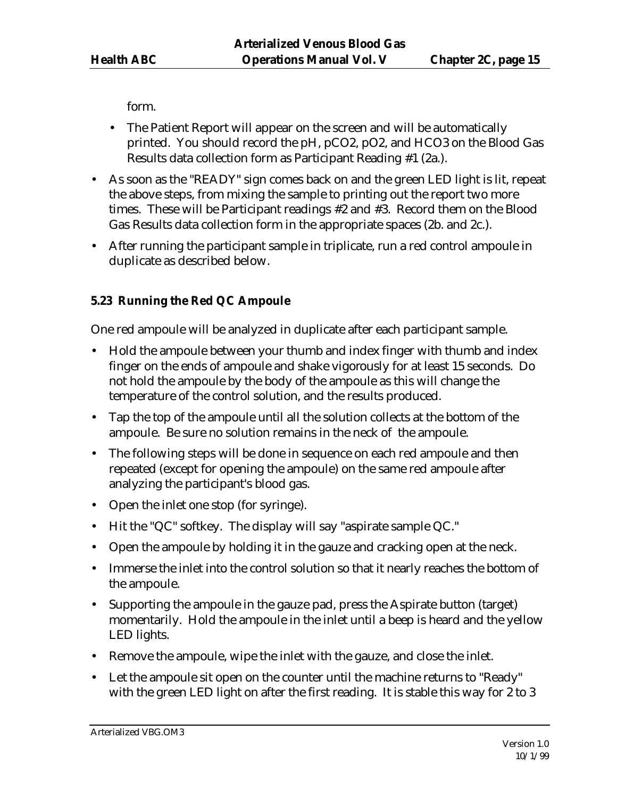form.

- The Patient Report will appear on the screen and will be automatically printed. You should record the pH, pCO2, pO2, and HCO3 on the Blood Gas Results data collection form as Participant Reading #1 (2a.).
- As soon as the "READY" sign comes back on and the green LED light is lit, repeat the above steps, from mixing the sample to printing out the report two more times. These will be Participant readings #2 and #3. Record them on the Blood Gas Results data collection form in the appropriate spaces (2b. and 2c.).
- After running the participant sample in triplicate, run a red control ampoule in duplicate as described below.

# **5.23 Running the Red QC Ampoule**

One red ampoule will be analyzed in duplicate after each participant sample.

- Hold the ampoule between your thumb and index finger with thumb and index finger on the ends of ampoule and shake vigorously for at least 15 seconds. Do not hold the ampoule by the body of the ampoule as this will change the temperature of the control solution, and the results produced.
- Tap the top of the ampoule until all the solution collects at the bottom of the ampoule. Be sure no solution remains in the neck of the ampoule.
- The following steps will be done in sequence on each red ampoule and then repeated (except for opening the ampoule) on the same red ampoule after analyzing the participant's blood gas.
- Open the inlet one stop (for syringe).
- Hit the "QC" softkey. The display will say "aspirate sample QC."
- Open the ampoule by holding it in the gauze and cracking open at the neck.
- Immerse the inlet into the control solution so that it nearly reaches the bottom of the ampoule.
- Supporting the ampoule in the gauze pad, press the Aspirate button (target) momentarily. Hold the ampoule in the inlet until a beep is heard and the yellow LED lights.
- Remove the ampoule, wipe the inlet with the gauze, and close the inlet.
- Let the ampoule sit open on the counter until the machine returns to "Ready" with the green LED light on after the first reading. It is stable this way for 2 to 3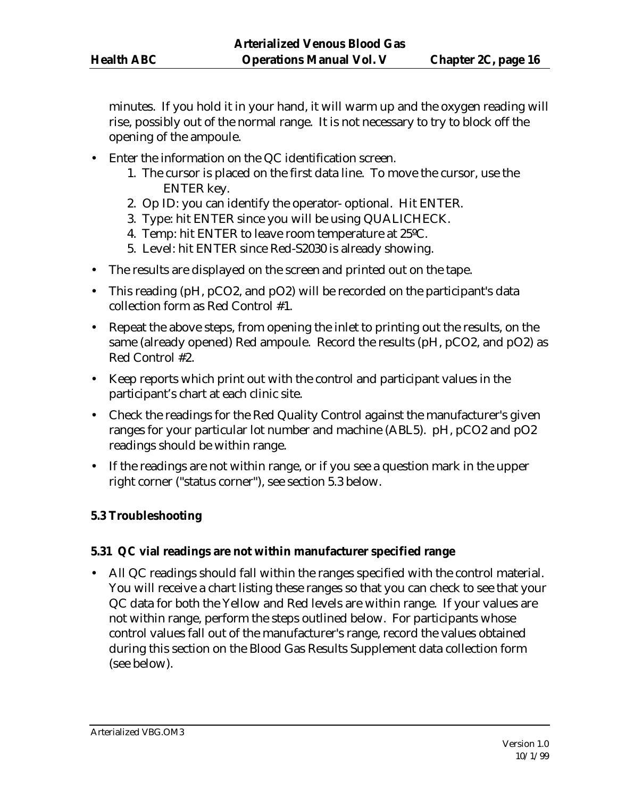minutes. If you hold it in your hand, it will warm up and the oxygen reading will rise, possibly out of the normal range. It is not necessary to try to block off the opening of the ampoule.

- Enter the information on the QC identification screen.
	- 1. The cursor is placed on the first data line. To move the cursor, use the ENTER key.
	- 2. Op ID: you can identify the operator- optional. Hit ENTER.
	- 3. Type: hit ENTER since you will be using QUALICHECK.
	- 4. Temp: hit ENTER to leave room temperature at 25ºC.
	- 5. Level: hit ENTER since Red-S2030 is already showing.
- The results are displayed on the screen and printed out on the tape.
- This reading (pH, pCO2, and pO2) will be recorded on the participant's data collection form as Red Control #1.
- Repeat the above steps, from opening the inlet to printing out the results, on the same (already opened) Red ampoule. Record the results (pH, pCO2, and pO2) as Red Control #2.
- Keep reports which print out with the control and participant values in the participant's chart at each clinic site.
- Check the readings for the Red Quality Control against the manufacturer's given ranges for your particular lot number and machine (ABL5). pH, pCO2 and pO2 readings should be within range.
- If the readings are not within range, or if you see a question mark in the upper right corner ("status corner"), see section 5.3 below.

#### **5.3 Troubleshooting**

#### **5.31 QC vial readings are not within manufacturer specified range**

• All QC readings should fall within the ranges specified with the control material. You will receive a chart listing these ranges so that you can check to see that your QC data for both the Yellow and Red levels are within range. If your values are not within range, perform the steps outlined below. For participants whose control values fall out of the manufacturer's range, record the values obtained during this section on the Blood Gas Results Supplement data collection form (see below).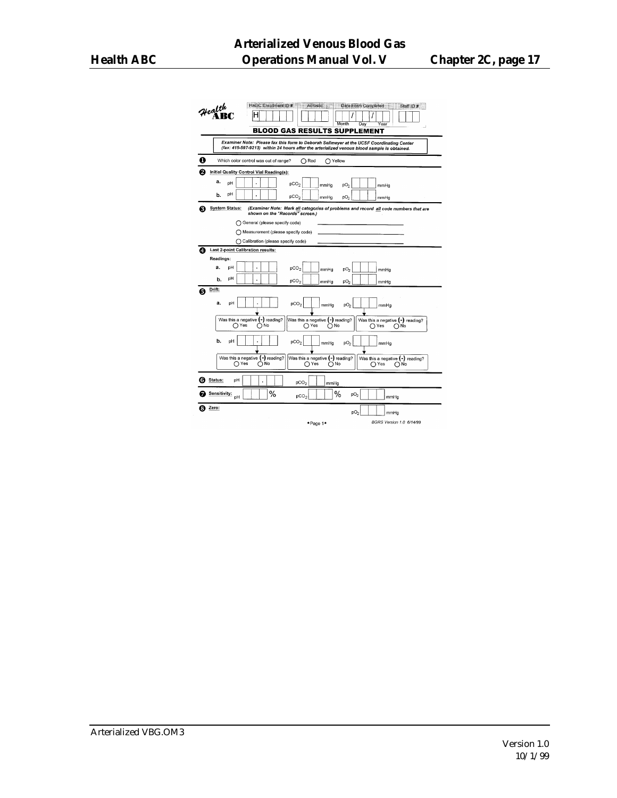|   | HABC Enrollment ID #   Acrostic   Date Form Completed<br>$\mathcal{H}$ ealth $\mathbf{R}$<br>Staff ID #<br>н                                                                            |
|---|-----------------------------------------------------------------------------------------------------------------------------------------------------------------------------------------|
|   | Month<br>Day<br>Year<br><b>BLOOD GAS RESULTS SUPPLEMENT</b>                                                                                                                             |
|   | Examiner Note: Please fax this form to Deborah Sellmeyer at the UCSF Coordinating Center<br>(fax: 415-597-9213) within 24 hours after the arterialized venous blood sample is obtained. |
| o | Which color control was out of range?<br>$\bigcap$ Red<br>∩ Yellow                                                                                                                      |
| 0 | Initial Quality Control Vial Reading(s):                                                                                                                                                |
|   | a.<br>pH<br>pCO <sub>2</sub><br>pO <sub>2</sub><br>mmHg<br>mmHg                                                                                                                         |
|   | pH<br>b.<br>pCO <sub>2</sub><br>$\mathsf{p}\mathsf{O}_2$<br>mmHg<br>mmHg                                                                                                                |
| Ð | <b>System Status:</b><br>(Examiner Note: Mark all categories of problems and record all code numbers that are<br>shown on the "Records" screen.)                                        |
|   | General (please specify code)                                                                                                                                                           |
|   | Measurement (please specify code)<br>O                                                                                                                                                  |
|   | C Calibration (please specify code)                                                                                                                                                     |
| ø | Last 2-point Calibration results:                                                                                                                                                       |
|   | Readings:                                                                                                                                                                               |
|   | a.<br>рH<br>pCO <sub>2</sub><br>٠<br>pO <sub>2</sub><br>mmHa<br>mmHa                                                                                                                    |
|   | pН<br>b.<br>pCO <sub>2</sub><br>pO <sub>2</sub><br>mmHg<br>mmHg                                                                                                                         |
| Q | Drift:                                                                                                                                                                                  |
|   | a.<br>pH<br>pCO <sub>2</sub><br>pO <sub>2</sub><br>mmHg<br>mmHg                                                                                                                         |
|   | Was this a negative $(-)$ reading?                                                                                                                                                      |
|   | Was this a negative (-) reading?<br>Was this a negative $(-)$ reading?<br>∩Yes<br>()No<br>∩ Yes<br>∩No<br>∩Yes<br>∩No                                                                   |
|   | b.<br>рH<br>pCO <sub>2</sub><br>pO <sub>2</sub><br>mmHa<br>mmHg                                                                                                                         |
|   | Was this a negative $(-)$ reading?<br>Was this a negative (-) reading?<br>Was this a negative (-) reading?                                                                              |
|   | ∩Yes<br>∩№<br>∩Yes<br>∩№<br>∩Yes<br>∩№                                                                                                                                                  |
| G | Status:<br>pH<br>pCO <sub>2</sub><br>mmHg                                                                                                                                               |
|   | %<br>%<br>Sensitivity:<br>pO <sub>2</sub><br>pCO <sub>2</sub><br>pH<br>mmHg                                                                                                             |
|   | Zero:<br>pO <sub>2</sub><br>mmHg                                                                                                                                                        |
|   | BGRS Version 1.0 6/14/99<br>*Page 1*                                                                                                                                                    |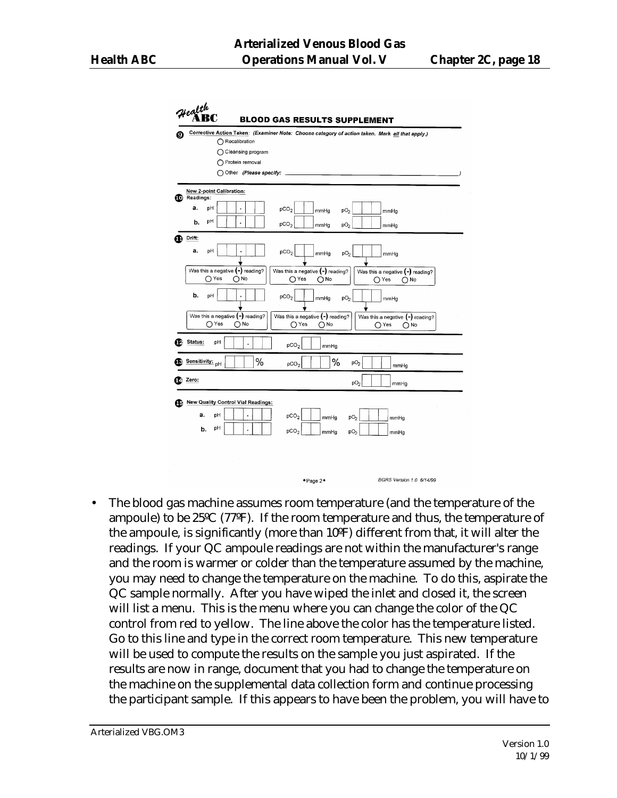

• The blood gas machine assumes room temperature (and the temperature of the ampoule) to be 25ºC (77ºF). If the room temperature and thus, the temperature of the ampoule, is significantly (more than 10ºF) different from that, it will alter the readings. If your QC ampoule readings are not within the manufacturer's range and the room is warmer or colder than the temperature assumed by the machine, you may need to change the temperature on the machine. To do this, aspirate the QC sample normally. After you have wiped the inlet and closed it, the screen will list a menu. This is the menu where you can change the color of the QC control from red to yellow. The line above the color has the temperature listed. Go to this line and type in the correct room temperature. This new temperature will be used to compute the results on the sample you just aspirated. If the results are now in range, document that you had to change the temperature on the machine on the supplemental data collection form and continue processing the participant sample. If this appears to have been the problem, you will have to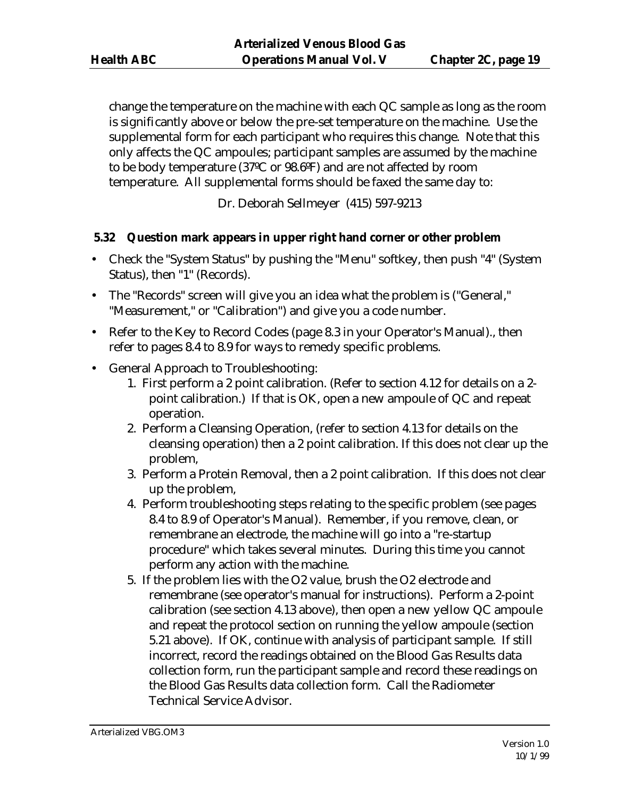change the temperature on the machine with each QC sample as long as the room is significantly above or below the pre-set temperature on the machine. Use the supplemental form for each participant who requires this change. Note that this only affects the QC ampoules; participant samples are assumed by the machine to be body temperature (37ºC or 98.6ºF) and are not affected by room temperature. All supplemental forms should be faxed the same day to:

Dr. Deborah Sellmeyer (415) 597-9213

#### **5.32 Question mark appears in upper right hand corner or other problem**

- Check the "System Status" by pushing the "Menu" softkey, then push "4" (System Status), then "1" (Records).
- The "Records" screen will give you an idea what the problem is ("General," "Measurement," or "Calibration") and give you a code number.
- Refer to the Key to Record Codes (page 8.3 in your Operator's Manual)., then refer to pages 8.4 to 8.9 for ways to remedy specific problems.
- General Approach to Troubleshooting:
	- 1. First perform a 2 point calibration. (Refer to section 4.12 for details on a 2 point calibration.) If that is OK, open a new ampoule of QC and repeat operation.
	- 2. Perform a Cleansing Operation, (refer to section 4.13 for details on the cleansing operation) then a 2 point calibration. If this does not clear up the problem,
	- 3. Perform a Protein Removal, then a 2 point calibration. If this does not clear up the problem,
	- 4. Perform troubleshooting steps relating to the specific problem (see pages 8.4 to 8.9 of Operator's Manual). Remember, if you remove, clean, or remembrane an electrode, the machine will go into a "re-startup procedure" which takes several minutes. During this time you cannot perform any action with the machine.
	- 5. If the problem lies with the O2 value, brush the O2 electrode and remembrane (see operator's manual for instructions). Perform a 2-point calibration (see section 4.13 above), then open a new yellow QC ampoule and repeat the protocol section on running the yellow ampoule (section 5.21 above). If OK, continue with analysis of participant sample. If still incorrect, record the readings obtained on the Blood Gas Results data collection form, run the participant sample and record these readings on the Blood Gas Results data collection form. Call the Radiometer Technical Service Advisor.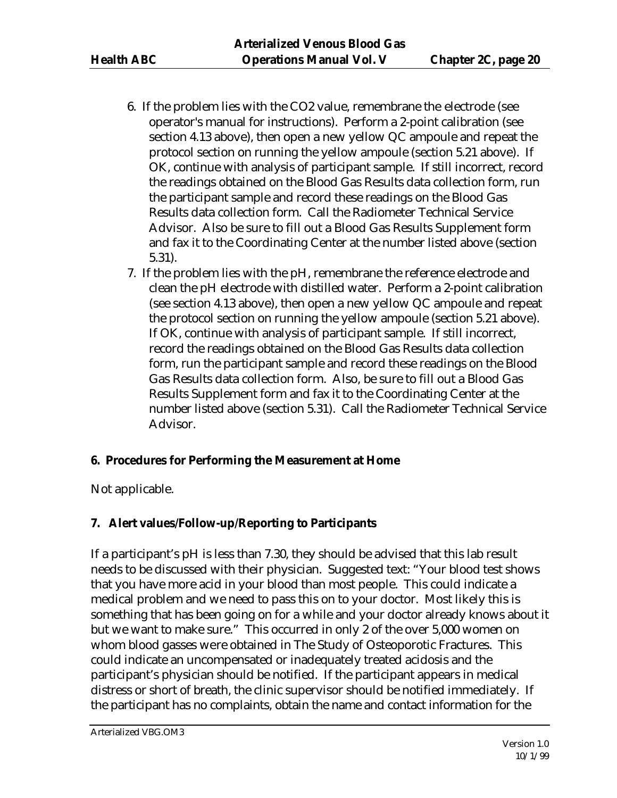- 6. If the problem lies with the CO2 value, remembrane the electrode (see operator's manual for instructions). Perform a 2-point calibration (see section 4.13 above), then open a new yellow QC ampoule and repeat the protocol section on running the yellow ampoule (section 5.21 above). If OK, continue with analysis of participant sample. If still incorrect, record the readings obtained on the Blood Gas Results data collection form, run the participant sample and record these readings on the Blood Gas Results data collection form. Call the Radiometer Technical Service Advisor. Also be sure to fill out a Blood Gas Results Supplement form and fax it to the Coordinating Center at the number listed above (section 5.31).
- 7. If the problem lies with the pH, remembrane the reference electrode and clean the pH electrode with distilled water. Perform a 2-point calibration (see section 4.13 above), then open a new yellow QC ampoule and repeat the protocol section on running the yellow ampoule (section 5.21 above). If OK, continue with analysis of participant sample. If still incorrect, record the readings obtained on the Blood Gas Results data collection form, run the participant sample and record these readings on the Blood Gas Results data collection form. Also, be sure to fill out a Blood Gas Results Supplement form and fax it to the Coordinating Center at the number listed above (section 5.31). Call the Radiometer Technical Service Advisor.

#### **6. Procedures for Performing the Measurement at Home**

Not applicable.

## **7. Alert values/Follow-up/Reporting to Participants**

If a participant's pH is less than 7.30, they should be advised that this lab result needs to be discussed with their physician. Suggested text: "Your blood test shows that you have more acid in your blood than most people. This could indicate a medical problem and we need to pass this on to your doctor. Most likely this is something that has been going on for a while and your doctor already knows about it but we want to make sure." This occurred in only 2 of the over 5,000 women on whom blood gasses were obtained in The Study of Osteoporotic Fractures. This could indicate an uncompensated or inadequately treated acidosis and the participant's physician should be notified. If the participant appears in medical distress or short of breath, the clinic supervisor should be notified immediately. If the participant has no complaints, obtain the name and contact information for the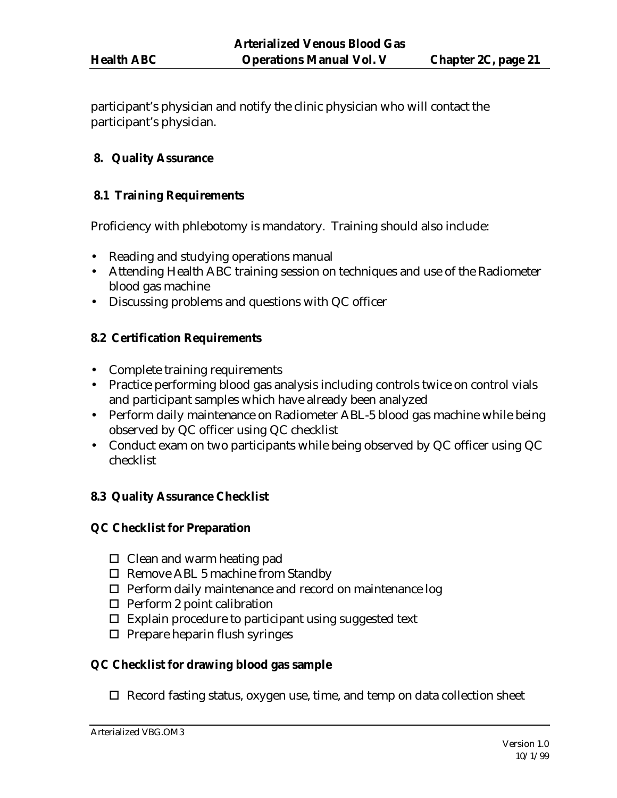participant's physician and notify the clinic physician who will contact the participant's physician.

#### **8. Quality Assurance**

#### **8.1 Training Requirements**

Proficiency with phlebotomy is mandatory. Training should also include:

- Reading and studying operations manual
- Attending Health ABC training session on techniques and use of the Radiometer blood gas machine
- Discussing problems and questions with QC officer

#### **8.2 Certification Requirements**

- Complete training requirements
- Practice performing blood gas analysis including controls twice on control vials and participant samples which have already been analyzed
- Perform daily maintenance on Radiometer ABL-5 blood gas machine while being observed by QC officer using QC checklist
- Conduct exam on two participants while being observed by QC officer using QC checklist

## **8.3 Quality Assurance Checklist**

#### **QC Checklist for Preparation**

- $\Box$  Clean and warm heating pad
- $\Box$  Remove ABL 5 machine from Standby
- $\Box$  Perform daily maintenance and record on maintenance log
- $\Box$  Perform 2 point calibration
- $\square$  Explain procedure to participant using suggested text
- $\Box$  Prepare heparin flush syringes

## **QC Checklist for drawing blood gas sample**

 $\Box$  Record fasting status, oxygen use, time, and temp on data collection sheet